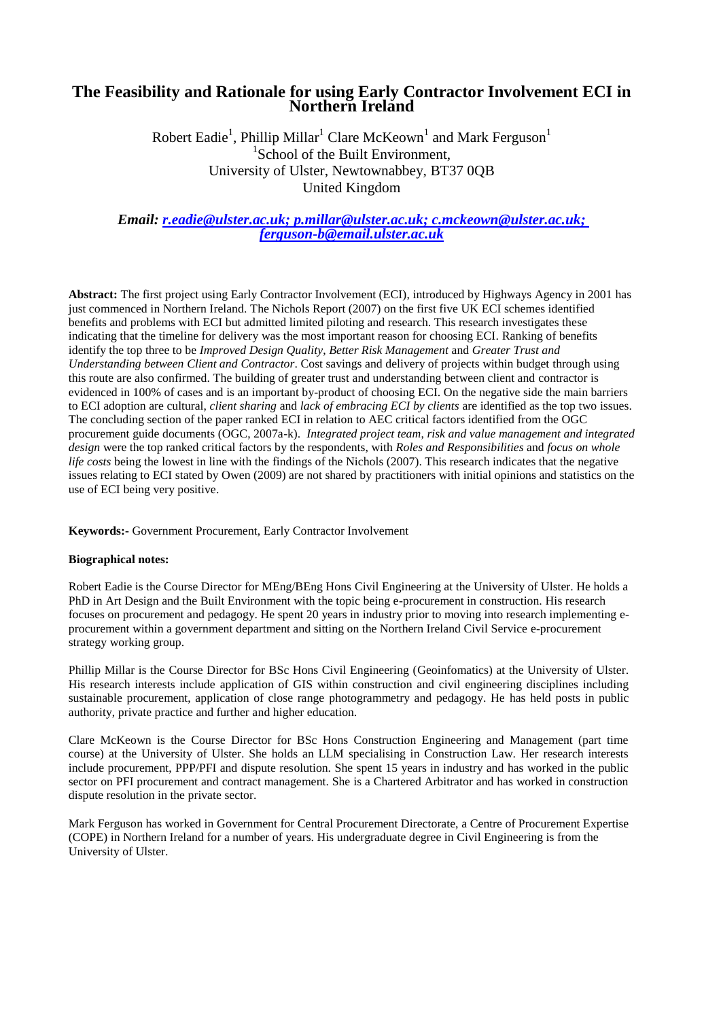#### **The Feasibility and Rationale for using Early Contractor Involvement ECI in Northern Ireland**

Robert Eadie $^1$ , Phillip Millar $^1$  Clare McKeown $^1$  and Mark Ferguson $^1$ <sup>1</sup>School of the Built Environment, University of Ulster, Newtownabbey, BT37 0QB United Kingdom

*Email: [r.eadie@ulster.ac.uk;](mailto:r.eadie@ulster.ac.uk) [p.millar@ulster.ac.uk;](mailto:p.millar@ulster.ac.uk) [c.mckeown@ulster.ac.uk;](mailto:c.mckeown@ulster.ac.uk) ferguson-b@email.ulster.ac.uk*

**Abstract:** The first project using Early Contractor Involvement (ECI), introduced by Highways Agency in 2001 has just commenced in Northern Ireland. The Nichols Report (2007) on the first five UK ECI schemes identified benefits and problems with ECI but admitted limited piloting and research. This research investigates these indicating that the timeline for delivery was the most important reason for choosing ECI. Ranking of benefits identify the top three to be *Improved Design Quality*, *Better Risk Management* and *Greater Trust and Understanding between Client and Contractor*. Cost savings and delivery of projects within budget through using this route are also confirmed. The building of greater trust and understanding between client and contractor is evidenced in 100% of cases and is an important by-product of choosing ECI. On the negative side the main barriers to ECI adoption are cultural, *client sharing* and *lack of embracing ECI by clients* are identified as the top two issues. The concluding section of the paper ranked ECI in relation to AEC critical factors identified from the OGC procurement guide documents (OGC, 2007a-k). *Integrated project team*, *risk and value management and integrated design* were the top ranked critical factors by the respondents, with *Roles and Responsibilities* and *focus on whole life costs* being the lowest in line with the findings of the Nichols (2007). This research indicates that the negative issues relating to ECI stated by Owen (2009) are not shared by practitioners with initial opinions and statistics on the use of ECI being very positive.

**Keywords:-** Government Procurement, Early Contractor Involvement

#### **Biographical notes:**

Robert Eadie is the Course Director for MEng/BEng Hons Civil Engineering at the University of Ulster. He holds a PhD in Art Design and the Built Environment with the topic being e-procurement in construction. His research focuses on procurement and pedagogy. He spent 20 years in industry prior to moving into research implementing eprocurement within a government department and sitting on the Northern Ireland Civil Service e-procurement strategy working group.

Phillip Millar is the Course Director for BSc Hons Civil Engineering (Geoinfomatics) at the University of Ulster. His research interests include application of GIS within construction and civil engineering disciplines including sustainable procurement, application of close range photogrammetry and pedagogy. He has held posts in public authority, private practice and further and higher education.

Clare McKeown is the Course Director for BSc Hons Construction Engineering and Management (part time course) at the University of Ulster. She holds an LLM specialising in Construction Law. Her research interests include procurement, PPP/PFI and dispute resolution. She spent 15 years in industry and has worked in the public sector on PFI procurement and contract management. She is a Chartered Arbitrator and has worked in construction dispute resolution in the private sector.

Mark Ferguson has worked in Government for Central Procurement Directorate, a Centre of Procurement Expertise (COPE) in Northern Ireland for a number of years. His undergraduate degree in Civil Engineering is from the University of Ulster.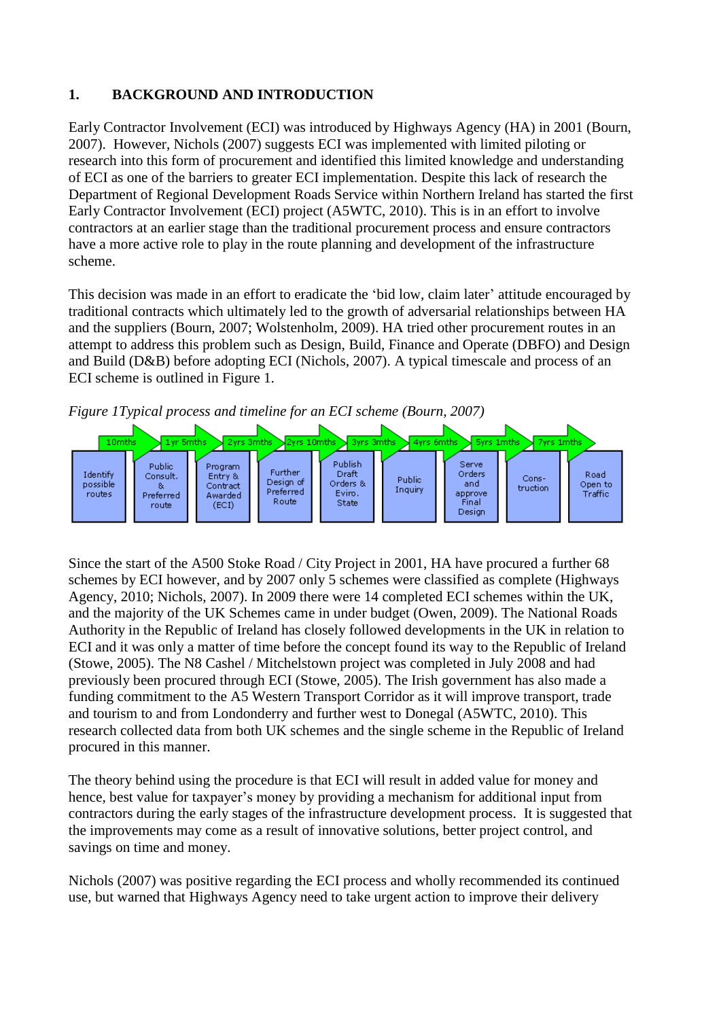## **1. BACKGROUND AND INTRODUCTION**

Early Contractor Involvement (ECI) was introduced by Highways Agency (HA) in 2001 (Bourn, 2007). However, Nichols (2007) suggests ECI was implemented with limited piloting or research into this form of procurement and identified this limited knowledge and understanding of ECI as one of the barriers to greater ECI implementation. Despite this lack of research the Department of Regional Development Roads Service within Northern Ireland has started the first Early Contractor Involvement (ECI) project (A5WTC, 2010). This is in an effort to involve contractors at an earlier stage than the traditional procurement process and ensure contractors have a more active role to play in the route planning and development of the infrastructure scheme.

This decision was made in an effort to eradicate the 'bid low, claim later' attitude encouraged by traditional contracts which ultimately led to the growth of adversarial relationships between HA and the suppliers (Bourn, 2007; Wolstenholm, 2009). HA tried other procurement routes in an attempt to address this problem such as Design, Build, Finance and Operate (DBFO) and Design and Build (D&B) before adopting ECI (Nichols, 2007). A typical timescale and process of an ECI scheme is outlined in Figure 1.





Since the start of the A500 Stoke Road / City Project in 2001, HA have procured a further 68 schemes by ECI however, and by 2007 only 5 schemes were classified as complete (Highways Agency, 2010; Nichols, 2007). In 2009 there were 14 completed ECI schemes within the UK, and the majority of the UK Schemes came in under budget (Owen, 2009). The National Roads Authority in the Republic of Ireland has closely followed developments in the UK in relation to ECI and it was only a matter of time before the concept found its way to the Republic of Ireland (Stowe, 2005). The N8 Cashel / Mitchelstown project was completed in July 2008 and had previously been procured through ECI (Stowe, 2005). The Irish government has also made a funding commitment to the A5 Western Transport Corridor as it will improve transport, trade and tourism to and from Londonderry and further west to Donegal (A5WTC, 2010). This research collected data from both UK schemes and the single scheme in the Republic of Ireland procured in this manner.

The theory behind using the procedure is that ECI will result in added value for money and hence, best value for taxpayer's money by providing a mechanism for additional input from contractors during the early stages of the infrastructure development process. It is suggested that the improvements may come as a result of innovative solutions, better project control, and savings on time and money.

Nichols (2007) was positive regarding the ECI process and wholly recommended its continued use, but warned that Highways Agency need to take urgent action to improve their delivery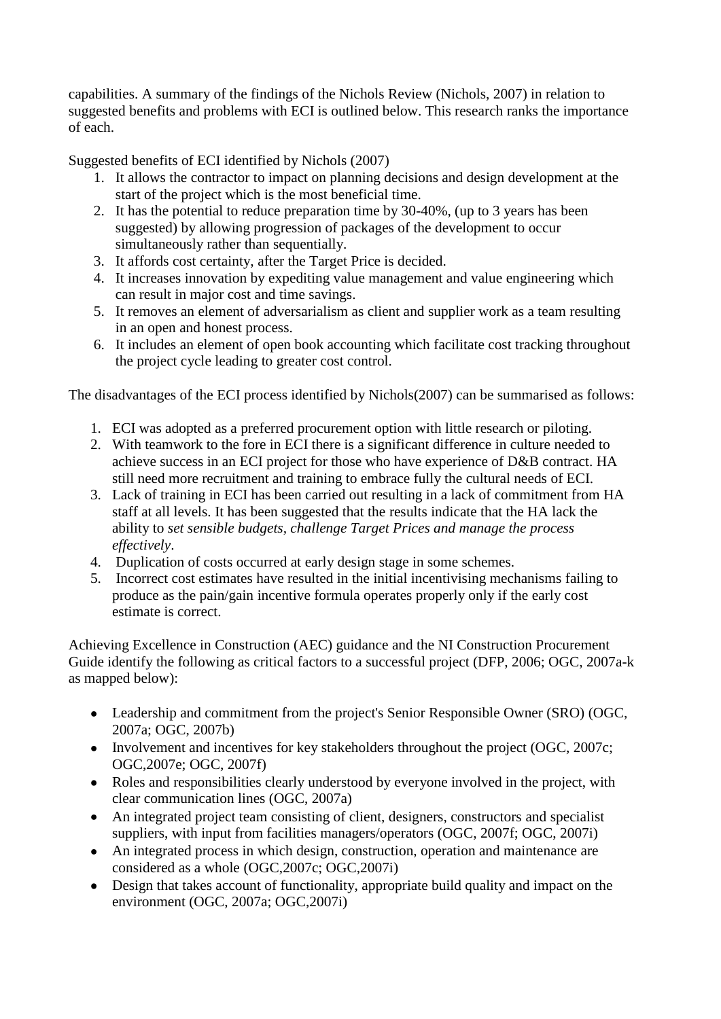capabilities. A summary of the findings of the Nichols Review (Nichols, 2007) in relation to suggested benefits and problems with ECI is outlined below. This research ranks the importance of each.

Suggested benefits of ECI identified by Nichols (2007)

- 1. It allows the contractor to impact on planning decisions and design development at the start of the project which is the most beneficial time.
- 2. It has the potential to reduce preparation time by 30-40%, (up to 3 years has been suggested) by allowing progression of packages of the development to occur simultaneously rather than sequentially.
- 3. It affords cost certainty, after the Target Price is decided.
- 4. It increases innovation by expediting value management and value engineering which can result in major cost and time savings.
- 5. It removes an element of adversarialism as client and supplier work as a team resulting in an open and honest process.
- 6. It includes an element of open book accounting which facilitate cost tracking throughout the project cycle leading to greater cost control.

The disadvantages of the ECI process identified by Nichols(2007) can be summarised as follows:

- 1. ECI was adopted as a preferred procurement option with little research or piloting.
- 2. With teamwork to the fore in ECI there is a significant difference in culture needed to achieve success in an ECI project for those who have experience of D&B contract. HA still need more recruitment and training to embrace fully the cultural needs of ECI.
- 3. Lack of training in ECI has been carried out resulting in a lack of commitment from HA staff at all levels. It has been suggested that the results indicate that the HA lack the ability to *set sensible budgets, challenge Target Prices and manage the process effectively*.
- 4. Duplication of costs occurred at early design stage in some schemes.
- 5. Incorrect cost estimates have resulted in the initial incentivising mechanisms failing to produce as the pain/gain incentive formula operates properly only if the early cost estimate is correct.

Achieving Excellence in Construction (AEC) guidance and the NI Construction Procurement Guide identify the following as critical factors to a successful project (DFP, 2006; OGC, 2007a-k as mapped below):

- Leadership and commitment from the project's Senior Responsible Owner (SRO) (OGC, 2007a; OGC, 2007b)
- Involvement and incentives for key stakeholders throughout the project (OGC, 2007c; OGC,2007e; OGC, 2007f)
- Roles and responsibilities clearly understood by everyone involved in the project, with  $\bullet$ clear communication lines (OGC, 2007a)
- An integrated project team consisting of client, designers, constructors and specialist  $\bullet$ suppliers, with input from facilities managers/operators (OGC, 2007f; OGC, 2007i)
- An integrated process in which design, construction, operation and maintenance are  $\bullet$ considered as a whole (OGC,2007c; OGC,2007i)
- Design that takes account of functionality, appropriate build quality and impact on the  $\bullet$ environment (OGC, 2007a; OGC,2007i)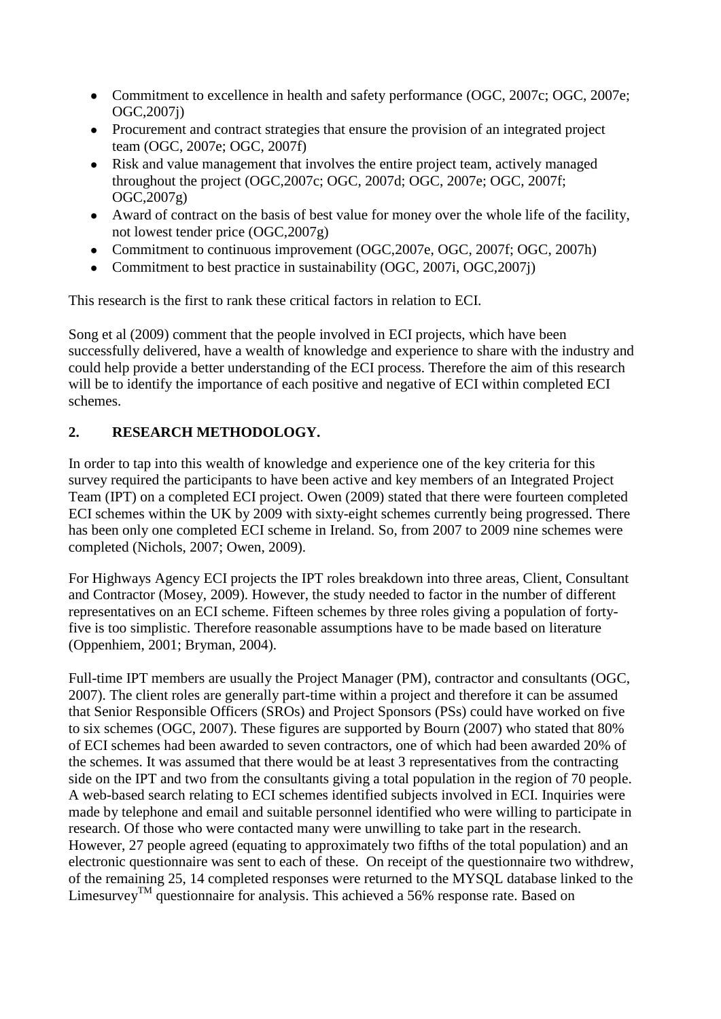- Commitment to excellence in health and safety performance (OGC, 2007c; OGC, 2007e; OGC,2007j)
- Procurement and contract strategies that ensure the provision of an integrated project  $\bullet$ team (OGC, 2007e; OGC, 2007f)
- Risk and value management that involves the entire project team, actively managed  $\bullet$ throughout the project (OGC,2007c; OGC, 2007d; OGC, 2007e; OGC, 2007f; OGC,2007g)
- Award of contract on the basis of best value for money over the whole life of the facility,  $\bullet$ not lowest tender price (OGC,2007g)
- Commitment to continuous improvement (OGC, 2007e, OGC, 2007f; OGC, 2007h)
- Commitment to best practice in sustainability (OGC, 2007i, OGC,2007j)

This research is the first to rank these critical factors in relation to ECI.

Song et al (2009) comment that the people involved in ECI projects, which have been successfully delivered, have a wealth of knowledge and experience to share with the industry and could help provide a better understanding of the ECI process. Therefore the aim of this research will be to identify the importance of each positive and negative of ECI within completed ECI schemes.

# **2. RESEARCH METHODOLOGY.**

In order to tap into this wealth of knowledge and experience one of the key criteria for this survey required the participants to have been active and key members of an Integrated Project Team (IPT) on a completed ECI project. Owen (2009) stated that there were fourteen completed ECI schemes within the UK by 2009 with sixty-eight schemes currently being progressed. There has been only one completed ECI scheme in Ireland. So, from 2007 to 2009 nine schemes were completed (Nichols, 2007; Owen, 2009).

For Highways Agency ECI projects the IPT roles breakdown into three areas, Client, Consultant and Contractor (Mosey, 2009). However, the study needed to factor in the number of different representatives on an ECI scheme. Fifteen schemes by three roles giving a population of fortyfive is too simplistic. Therefore reasonable assumptions have to be made based on literature (Oppenhiem, 2001; Bryman, 2004).

Full-time IPT members are usually the Project Manager (PM), contractor and consultants (OGC, 2007). The client roles are generally part-time within a project and therefore it can be assumed that Senior Responsible Officers (SROs) and Project Sponsors (PSs) could have worked on five to six schemes (OGC, 2007). These figures are supported by Bourn (2007) who stated that 80% of ECI schemes had been awarded to seven contractors, one of which had been awarded 20% of the schemes. It was assumed that there would be at least 3 representatives from the contracting side on the IPT and two from the consultants giving a total population in the region of 70 people. A web-based search relating to ECI schemes identified subjects involved in ECI. Inquiries were made by telephone and email and suitable personnel identified who were willing to participate in research. Of those who were contacted many were unwilling to take part in the research. However, 27 people agreed (equating to approximately two fifths of the total population) and an electronic questionnaire was sent to each of these. On receipt of the questionnaire two withdrew, of the remaining 25, 14 completed responses were returned to the MYSQL database linked to the Limesurvey<sup>TM</sup> questionnaire for analysis. This achieved a 56% response rate. Based on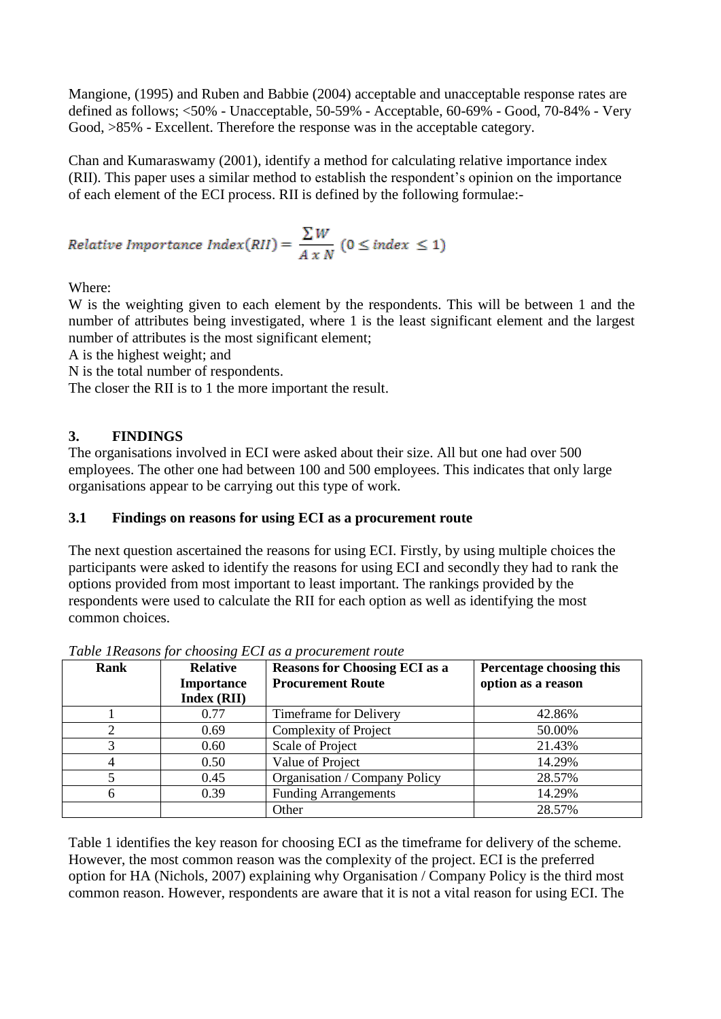Mangione, (1995) and Ruben and Babbie (2004) acceptable and unacceptable response rates are defined as follows; <50% - Unacceptable, 50-59% - Acceptable, 60-69% - Good, 70-84% - Very Good, >85% - Excellent. Therefore the response was in the acceptable category.

Chan and Kumaraswamy (2001), identify a method for calculating relative importance index (RII). This paper uses a similar method to establish the respondent's opinion on the importance of each element of the ECI process. RII is defined by the following formulae:-

$$
Relative\;Importance\; Index(RII) = \frac{\sum W}{A \; x \; N} \; (0 \leq index \leq 1)
$$

Where:

W is the weighting given to each element by the respondents. This will be between 1 and the number of attributes being investigated, where 1 is the least significant element and the largest number of attributes is the most significant element;

A is the highest weight; and

N is the total number of respondents.

The closer the RII is to 1 the more important the result.

## **3. FINDINGS**

The organisations involved in ECI were asked about their size. All but one had over 500 employees. The other one had between 100 and 500 employees. This indicates that only large organisations appear to be carrying out this type of work.

### **3.1 Findings on reasons for using ECI as a procurement route**

The next question ascertained the reasons for using ECI. Firstly, by using multiple choices the participants were asked to identify the reasons for using ECI and secondly they had to rank the options provided from most important to least important. The rankings provided by the respondents were used to calculate the RII for each option as well as identifying the most common choices.

| Rank | <b>Relative</b><br><b>Importance</b><br><b>Index (RII)</b> | <b>Reasons for Choosing ECI as a</b><br><b>Procurement Route</b> | Percentage choosing this<br>option as a reason |
|------|------------------------------------------------------------|------------------------------------------------------------------|------------------------------------------------|
|      | 0.77                                                       | Timeframe for Delivery                                           | 42.86%                                         |
| າ    | 0.69                                                       | Complexity of Project                                            | 50.00%                                         |
| 3    | 0.60                                                       | Scale of Project                                                 | 21.43%                                         |
| 4    | 0.50                                                       | Value of Project                                                 | 14.29%                                         |
|      | 0.45                                                       | Organisation / Company Policy                                    | 28.57%                                         |
| 6    | 0.39                                                       | <b>Funding Arrangements</b>                                      | 14.29%                                         |
|      |                                                            | Other                                                            | 28.57%                                         |

*Table 1Reasons for choosing ECI as a procurement route*

Table 1 identifies the key reason for choosing ECI as the timeframe for delivery of the scheme. However, the most common reason was the complexity of the project. ECI is the preferred option for HA (Nichols, 2007) explaining why Organisation / Company Policy is the third most common reason. However, respondents are aware that it is not a vital reason for using ECI. The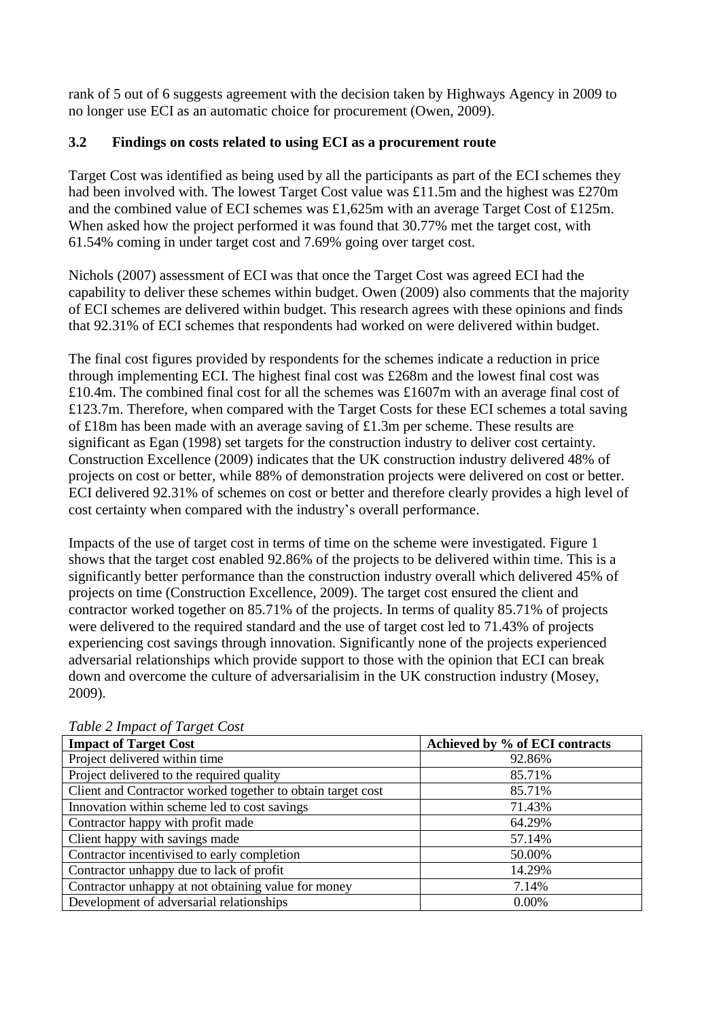rank of 5 out of 6 suggests agreement with the decision taken by Highways Agency in 2009 to no longer use ECI as an automatic choice for procurement (Owen, 2009).

## **3.2 Findings on costs related to using ECI as a procurement route**

Target Cost was identified as being used by all the participants as part of the ECI schemes they had been involved with. The lowest Target Cost value was £11.5m and the highest was £270m and the combined value of ECI schemes was £1,625m with an average Target Cost of £125m. When asked how the project performed it was found that 30.77% met the target cost, with 61.54% coming in under target cost and 7.69% going over target cost.

Nichols (2007) assessment of ECI was that once the Target Cost was agreed ECI had the capability to deliver these schemes within budget. Owen (2009) also comments that the majority of ECI schemes are delivered within budget. This research agrees with these opinions and finds that 92.31% of ECI schemes that respondents had worked on were delivered within budget.

The final cost figures provided by respondents for the schemes indicate a reduction in price through implementing ECI. The highest final cost was £268m and the lowest final cost was £10.4m. The combined final cost for all the schemes was £1607m with an average final cost of £123.7m. Therefore, when compared with the Target Costs for these ECI schemes a total saving of £18m has been made with an average saving of £1.3m per scheme. These results are significant as Egan (1998) set targets for the construction industry to deliver cost certainty. Construction Excellence (2009) indicates that the UK construction industry delivered 48% of projects on cost or better, while 88% of demonstration projects were delivered on cost or better. ECI delivered 92.31% of schemes on cost or better and therefore clearly provides a high level of cost certainty when compared with the industry's overall performance.

Impacts of the use of target cost in terms of time on the scheme were investigated. Figure 1 shows that the target cost enabled 92.86% of the projects to be delivered within time. This is a significantly better performance than the construction industry overall which delivered 45% of projects on time (Construction Excellence, 2009). The target cost ensured the client and contractor worked together on 85.71% of the projects. In terms of quality 85.71% of projects were delivered to the required standard and the use of target cost led to 71.43% of projects experiencing cost savings through innovation. Significantly none of the projects experienced adversarial relationships which provide support to those with the opinion that ECI can break down and overcome the culture of adversarialisim in the UK construction industry (Mosey, 2009).

| <b>Impact of Target Cost</b>                                | Achieved by % of ECI contracts |
|-------------------------------------------------------------|--------------------------------|
| Project delivered within time                               | 92.86%                         |
| Project delivered to the required quality                   | 85.71%                         |
| Client and Contractor worked together to obtain target cost | 85.71%                         |
| Innovation within scheme led to cost savings                | 71.43%                         |
| Contractor happy with profit made                           | 64.29%                         |
| Client happy with savings made                              | 57.14%                         |
| Contractor incentivised to early completion                 | 50.00%                         |
| Contractor unhappy due to lack of profit                    | 14.29%                         |
| Contractor unhappy at not obtaining value for money         | 7.14%                          |
| Development of adversarial relationships                    | $0.00\%$                       |

*Table 2 Impact of Target Cost*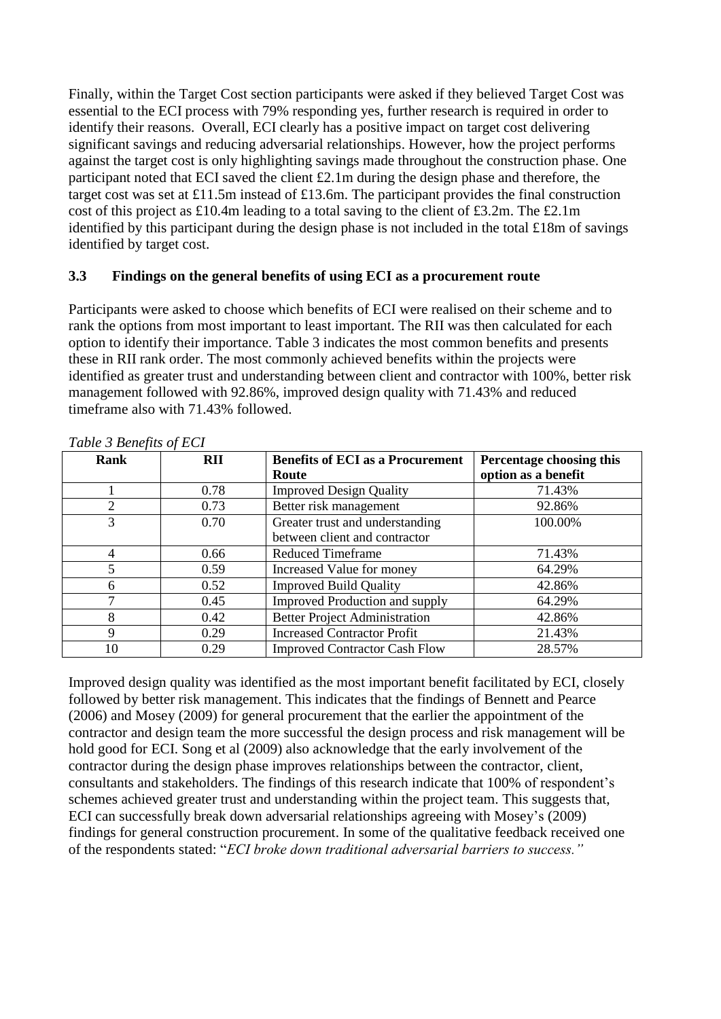Finally, within the Target Cost section participants were asked if they believed Target Cost was essential to the ECI process with 79% responding yes, further research is required in order to identify their reasons. Overall, ECI clearly has a positive impact on target cost delivering significant savings and reducing adversarial relationships. However, how the project performs against the target cost is only highlighting savings made throughout the construction phase. One participant noted that ECI saved the client £2.1m during the design phase and therefore, the target cost was set at £11.5m instead of £13.6m. The participant provides the final construction cost of this project as £10.4m leading to a total saving to the client of £3.2m. The £2.1m identified by this participant during the design phase is not included in the total £18m of savings identified by target cost.

#### **3.3 Findings on the general benefits of using ECI as a procurement route**

Participants were asked to choose which benefits of ECI were realised on their scheme and to rank the options from most important to least important. The RII was then calculated for each option to identify their importance. Table 3 indicates the most common benefits and presents these in RII rank order. The most commonly achieved benefits within the projects were identified as greater trust and understanding between client and contractor with 100%, better risk management followed with 92.86%, improved design quality with 71.43% and reduced timeframe also with 71.43% followed.

| Rank           | <b>RII</b> | <b>Benefits of ECI as a Procurement</b><br>Route | Percentage choosing this<br>option as a benefit |
|----------------|------------|--------------------------------------------------|-------------------------------------------------|
|                | 0.78       | <b>Improved Design Quality</b>                   | 71.43%                                          |
| 2              | 0.73       | Better risk management                           | 92.86%                                          |
| 3              | 0.70       | Greater trust and understanding                  | 100.00%                                         |
|                |            | between client and contractor                    |                                                 |
| $\overline{4}$ | 0.66       | <b>Reduced Timeframe</b>                         | 71.43%                                          |
| 5              | 0.59       | Increased Value for money                        | 64.29%                                          |
| 6              | 0.52       | <b>Improved Build Quality</b>                    | 42.86%                                          |
| 7              | 0.45       | <b>Improved Production and supply</b>            | 64.29%                                          |
| 8              | 0.42       | <b>Better Project Administration</b>             | 42.86%                                          |
| 9              | 0.29       | <b>Increased Contractor Profit</b>               | 21.43%                                          |
| 10             | 0.29       | <b>Improved Contractor Cash Flow</b>             | 28.57%                                          |

*Table 3 Benefits of ECI*

Improved design quality was identified as the most important benefit facilitated by ECI, closely followed by better risk management. This indicates that the findings of Bennett and Pearce (2006) and Mosey (2009) for general procurement that the earlier the appointment of the contractor and design team the more successful the design process and risk management will be hold good for ECI. Song et al (2009) also acknowledge that the early involvement of the contractor during the design phase improves relationships between the contractor, client, consultants and stakeholders. The findings of this research indicate that 100% of respondent's schemes achieved greater trust and understanding within the project team. This suggests that, ECI can successfully break down adversarial relationships agreeing with Mosey's (2009) findings for general construction procurement. In some of the qualitative feedback received one of the respondents stated: "*ECI broke down traditional adversarial barriers to success."*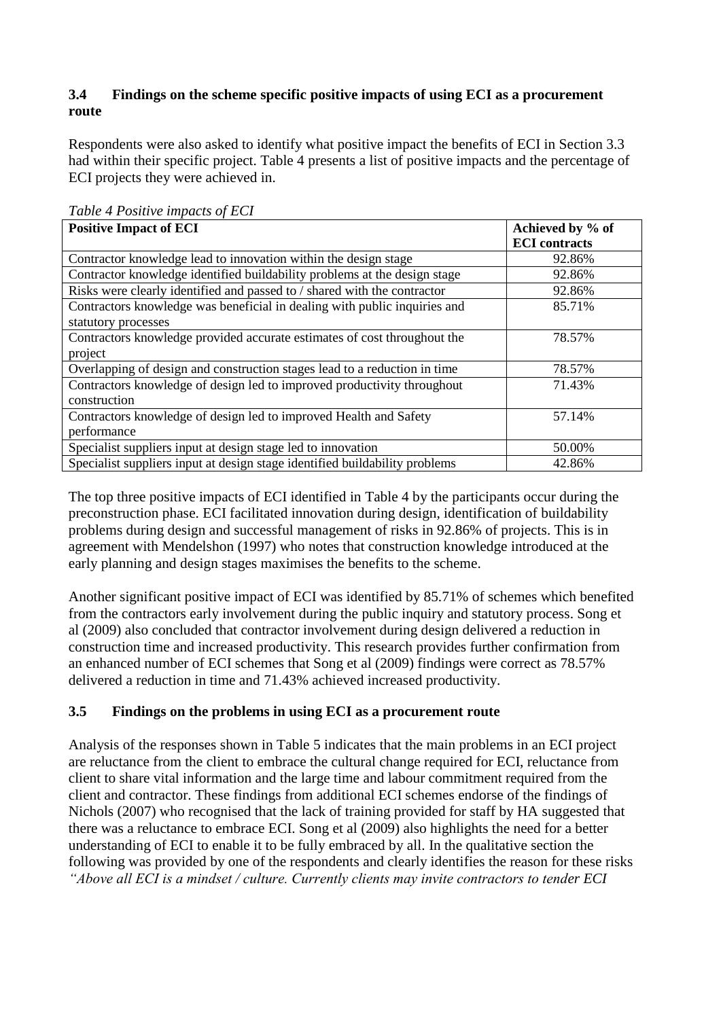## **3.4 Findings on the scheme specific positive impacts of using ECI as a procurement route**

Respondents were also asked to identify what positive impact the benefits of ECI in Section 3.3 had within their specific project. Table 4 presents a list of positive impacts and the percentage of ECI projects they were achieved in.

| <b>Positive Impact of ECI</b>                                               | Achieved by % of     |  |
|-----------------------------------------------------------------------------|----------------------|--|
|                                                                             | <b>ECI</b> contracts |  |
| Contractor knowledge lead to innovation within the design stage             | 92.86%               |  |
| Contractor knowledge identified buildability problems at the design stage   | 92.86%               |  |
| Risks were clearly identified and passed to / shared with the contractor    | 92.86%               |  |
| Contractors knowledge was beneficial in dealing with public inquiries and   | 85.71%               |  |
| statutory processes                                                         |                      |  |
| Contractors knowledge provided accurate estimates of cost throughout the    | 78.57%               |  |
| project                                                                     |                      |  |
| Overlapping of design and construction stages lead to a reduction in time   | 78.57%               |  |
| Contractors knowledge of design led to improved productivity throughout     | 71.43%               |  |
| construction                                                                |                      |  |
| Contractors knowledge of design led to improved Health and Safety           | 57.14%               |  |
| performance                                                                 |                      |  |
| Specialist suppliers input at design stage led to innovation                | 50.00%               |  |
| Specialist suppliers input at design stage identified buildability problems | 42.86%               |  |

*Table 4 Positive impacts of ECI*

The top three positive impacts of ECI identified in Table 4 by the participants occur during the preconstruction phase. ECI facilitated innovation during design, identification of buildability problems during design and successful management of risks in 92.86% of projects. This is in agreement with Mendelshon (1997) who notes that construction knowledge introduced at the early planning and design stages maximises the benefits to the scheme.

Another significant positive impact of ECI was identified by 85.71% of schemes which benefited from the contractors early involvement during the public inquiry and statutory process. Song et al (2009) also concluded that contractor involvement during design delivered a reduction in construction time and increased productivity. This research provides further confirmation from an enhanced number of ECI schemes that Song et al (2009) findings were correct as 78.57% delivered a reduction in time and 71.43% achieved increased productivity.

## **3.5 Findings on the problems in using ECI as a procurement route**

Analysis of the responses shown in Table 5 indicates that the main problems in an ECI project are reluctance from the client to embrace the cultural change required for ECI, reluctance from client to share vital information and the large time and labour commitment required from the client and contractor. These findings from additional ECI schemes endorse of the findings of Nichols (2007) who recognised that the lack of training provided for staff by HA suggested that there was a reluctance to embrace ECI. Song et al (2009) also highlights the need for a better understanding of ECI to enable it to be fully embraced by all. In the qualitative section the following was provided by one of the respondents and clearly identifies the reason for these risks *"Above all ECI is a mindset / culture. Currently clients may invite contractors to tender ECI*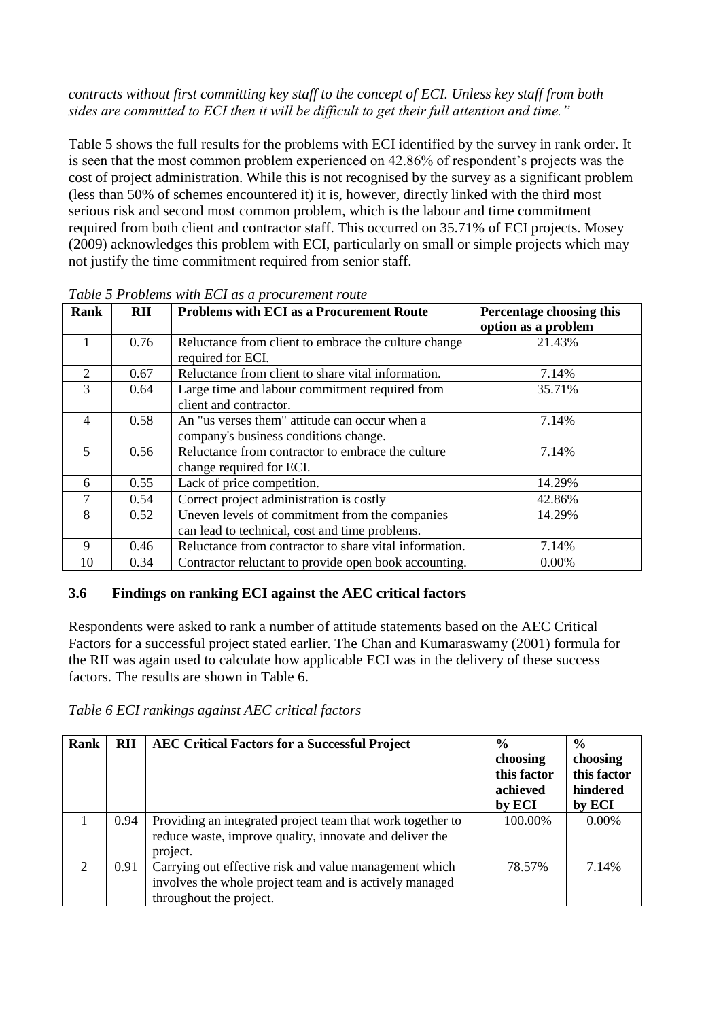#### *contracts without first committing key staff to the concept of ECI. Unless key staff from both sides are committed to ECI then it will be difficult to get their full attention and time."*

Table 5 shows the full results for the problems with ECI identified by the survey in rank order. It is seen that the most common problem experienced on 42.86% of respondent's projects was the cost of project administration. While this is not recognised by the survey as a significant problem (less than 50% of schemes encountered it) it is, however, directly linked with the third most serious risk and second most common problem, which is the labour and time commitment required from both client and contractor staff. This occurred on 35.71% of ECI projects. Mosey (2009) acknowledges this problem with ECI, particularly on small or simple projects which may not justify the time commitment required from senior staff.

| Rank           | <b>RII</b> | <b>Problems with ECI as a Procurement Route</b>        | Percentage choosing this |
|----------------|------------|--------------------------------------------------------|--------------------------|
|                |            |                                                        | option as a problem      |
|                | 0.76       | Reluctance from client to embrace the culture change   | 21.43%                   |
|                |            | required for ECI.                                      |                          |
| $\mathfrak{D}$ | 0.67       | Reluctance from client to share vital information.     | 7.14%                    |
| 3              | 0.64       | Large time and labour commitment required from         | 35.71%                   |
|                |            | client and contractor.                                 |                          |
| 4              | 0.58       | An "us verses them" attitude can occur when a          | 7.14%                    |
|                |            | company's business conditions change.                  |                          |
| 5              | 0.56       | Reluctance from contractor to embrace the culture      | 7.14%                    |
|                |            | change required for ECI.                               |                          |
| 6              | 0.55       | Lack of price competition.                             | 14.29%                   |
| 7              | 0.54       | Correct project administration is costly               | 42.86%                   |
| 8              | 0.52       | Uneven levels of commitment from the companies         | 14.29%                   |
|                |            | can lead to technical, cost and time problems.         |                          |
| 9              | 0.46       | Reluctance from contractor to share vital information. | 7.14%                    |
| 10             | 0.34       | Contractor reluctant to provide open book accounting.  | 0.00%                    |

#### *Table 5 Problems with ECI as a procurement route*

### **3.6 Findings on ranking ECI against the AEC critical factors**

Respondents were asked to rank a number of attitude statements based on the AEC Critical Factors for a successful project stated earlier. The Chan and Kumaraswamy (2001) formula for the RII was again used to calculate how applicable ECI was in the delivery of these success factors. The results are shown in Table 6.

*Table 6 ECI rankings against AEC critical factors*

| Rank                        | <b>RII</b> | <b>AEC Critical Factors for a Successful Project</b>                                                                                         | $\frac{6}{9}$<br>choosing<br>this factor<br>achieved<br>by ECI | $\frac{6}{9}$<br>choosing<br>this factor<br>hindered<br>by ECI |
|-----------------------------|------------|----------------------------------------------------------------------------------------------------------------------------------------------|----------------------------------------------------------------|----------------------------------------------------------------|
|                             | 0.94       | Providing an integrated project team that work together to<br>reduce waste, improve quality, innovate and deliver the<br>project.            | 100.00%                                                        | 0.00%                                                          |
| $\mathcal{D}_{\mathcal{L}}$ | 0.91       | Carrying out effective risk and value management which<br>involves the whole project team and is actively managed<br>throughout the project. | 78.57%                                                         | 7.14%                                                          |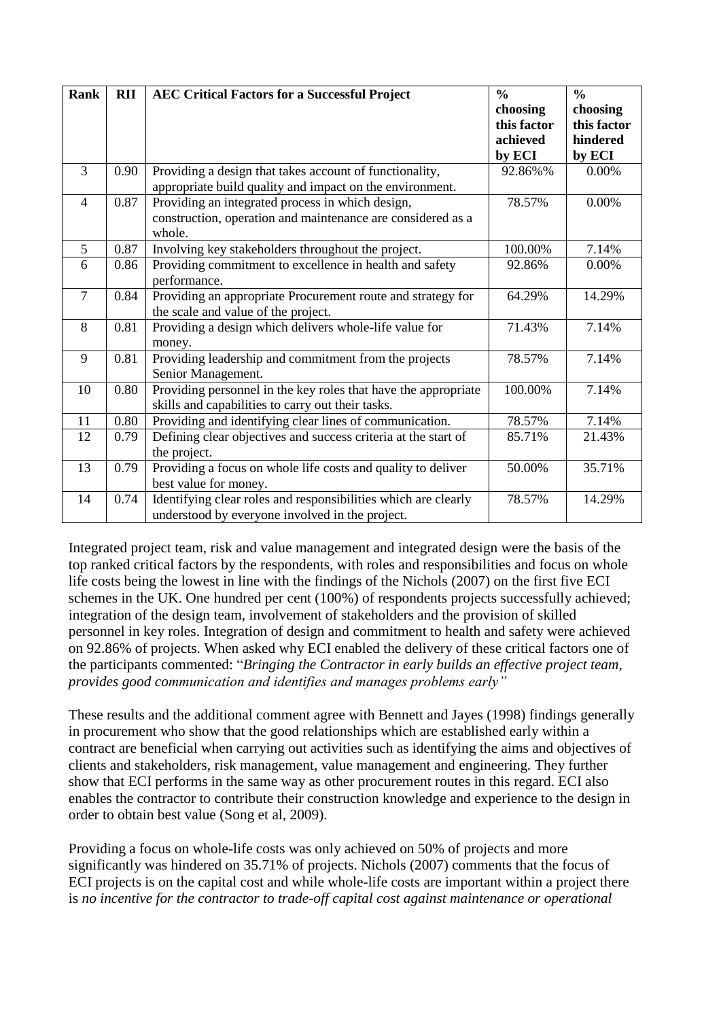| <b>Rank</b>    | <b>RII</b> | <b>AEC Critical Factors for a Successful Project</b>                                                                      | $\frac{0}{0}$<br>choosing<br>this factor<br>achieved | $\frac{0}{0}$<br>choosing<br>this factor<br>hindered |
|----------------|------------|---------------------------------------------------------------------------------------------------------------------------|------------------------------------------------------|------------------------------------------------------|
| $\overline{3}$ | 0.90       | Providing a design that takes account of functionality,                                                                   | by ECI<br>92.86%%                                    | by ECI<br>0.00%                                      |
|                |            | appropriate build quality and impact on the environment.                                                                  |                                                      |                                                      |
| $\overline{4}$ | 0.87       | Providing an integrated process in which design,<br>construction, operation and maintenance are considered as a<br>whole. | 78.57%                                               | $0.00\%$                                             |
| 5              | 0.87       | Involving key stakeholders throughout the project.                                                                        | 100.00%                                              | 7.14%                                                |
| 6              | 0.86       | Providing commitment to excellence in health and safety<br>performance.                                                   | 92.86%                                               | $0.00\%$                                             |
| $\overline{7}$ | 0.84       | Providing an appropriate Procurement route and strategy for<br>the scale and value of the project.                        | 64.29%                                               | 14.29%                                               |
| 8              | 0.81       | Providing a design which delivers whole-life value for<br>money.                                                          | 71.43%                                               | 7.14%                                                |
| 9              | 0.81       | Providing leadership and commitment from the projects<br>Senior Management.                                               | 78.57%                                               | 7.14%                                                |
| 10             | 0.80       | Providing personnel in the key roles that have the appropriate<br>skills and capabilities to carry out their tasks.       | 100.00%                                              | 7.14%                                                |
| 11             | 0.80       | Providing and identifying clear lines of communication.                                                                   | 78.57%                                               | 7.14%                                                |
| 12             | 0.79       | Defining clear objectives and success criteria at the start of<br>the project.                                            | 85.71%                                               | 21.43%                                               |
| 13             | 0.79       | Providing a focus on whole life costs and quality to deliver<br>best value for money.                                     | 50.00%                                               | 35.71%                                               |
| 14             | 0.74       | Identifying clear roles and responsibilities which are clearly<br>understood by everyone involved in the project.         | 78.57%                                               | 14.29%                                               |

Integrated project team, risk and value management and integrated design were the basis of the top ranked critical factors by the respondents, with roles and responsibilities and focus on whole life costs being the lowest in line with the findings of the Nichols (2007) on the first five ECI schemes in the UK. One hundred per cent (100%) of respondents projects successfully achieved; integration of the design team, involvement of stakeholders and the provision of skilled personnel in key roles. Integration of design and commitment to health and safety were achieved on 92.86% of projects. When asked why ECI enabled the delivery of these critical factors one of the participants commented: "*Bringing the Contractor in early builds an effective project team, provides good communication and identifies and manages problems early"*

These results and the additional comment agree with Bennett and Jayes (1998) findings generally in procurement who show that the good relationships which are established early within a contract are beneficial when carrying out activities such as identifying the aims and objectives of clients and stakeholders, risk management, value management and engineering. They further show that ECI performs in the same way as other procurement routes in this regard. ECI also enables the contractor to contribute their construction knowledge and experience to the design in order to obtain best value (Song et al, 2009).

Providing a focus on whole-life costs was only achieved on 50% of projects and more significantly was hindered on 35.71% of projects. Nichols (2007) comments that the focus of ECI projects is on the capital cost and while whole-life costs are important within a project there is *no incentive for the contractor to trade-off capital cost against maintenance or operational*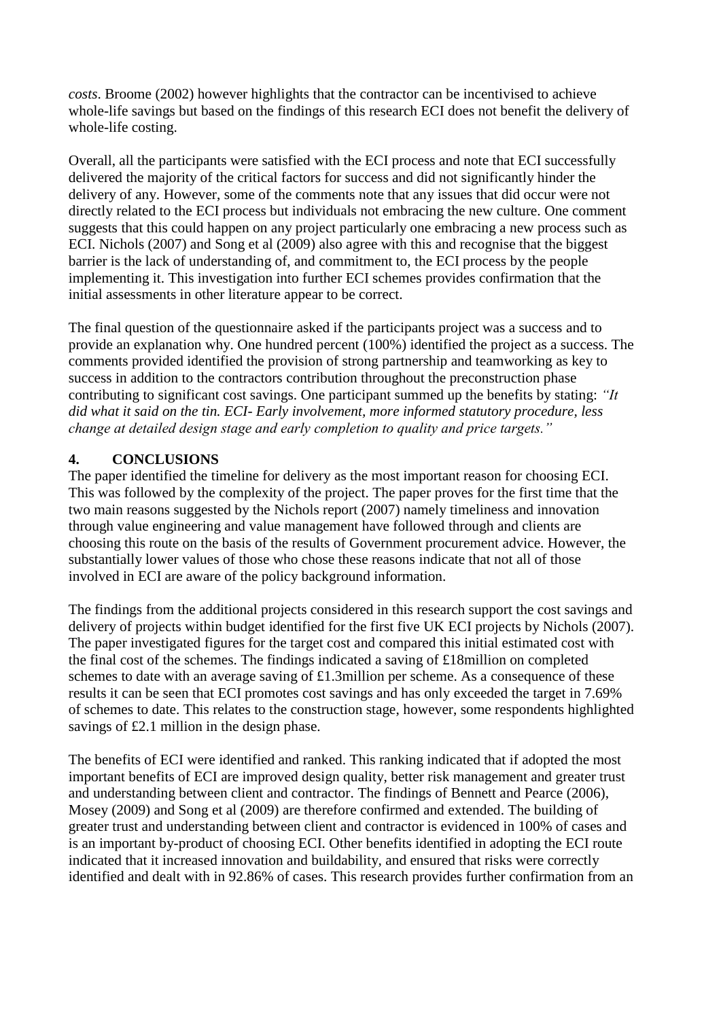*costs*. Broome (2002) however highlights that the contractor can be incentivised to achieve whole-life savings but based on the findings of this research ECI does not benefit the delivery of whole-life costing.

Overall, all the participants were satisfied with the ECI process and note that ECI successfully delivered the majority of the critical factors for success and did not significantly hinder the delivery of any. However, some of the comments note that any issues that did occur were not directly related to the ECI process but individuals not embracing the new culture. One comment suggests that this could happen on any project particularly one embracing a new process such as ECI. Nichols (2007) and Song et al (2009) also agree with this and recognise that the biggest barrier is the lack of understanding of, and commitment to, the ECI process by the people implementing it. This investigation into further ECI schemes provides confirmation that the initial assessments in other literature appear to be correct.

The final question of the questionnaire asked if the participants project was a success and to provide an explanation why. One hundred percent (100%) identified the project as a success. The comments provided identified the provision of strong partnership and teamworking as key to success in addition to the contractors contribution throughout the preconstruction phase contributing to significant cost savings. One participant summed up the benefits by stating: *"It did what it said on the tin. ECI- Early involvement, more informed statutory procedure, less change at detailed design stage and early completion to quality and price targets."*

## **4. CONCLUSIONS**

The paper identified the timeline for delivery as the most important reason for choosing ECI. This was followed by the complexity of the project. The paper proves for the first time that the two main reasons suggested by the Nichols report (2007) namely timeliness and innovation through value engineering and value management have followed through and clients are choosing this route on the basis of the results of Government procurement advice. However, the substantially lower values of those who chose these reasons indicate that not all of those involved in ECI are aware of the policy background information.

The findings from the additional projects considered in this research support the cost savings and delivery of projects within budget identified for the first five UK ECI projects by Nichols (2007). The paper investigated figures for the target cost and compared this initial estimated cost with the final cost of the schemes. The findings indicated a saving of £18million on completed schemes to date with an average saving of £1.3million per scheme. As a consequence of these results it can be seen that ECI promotes cost savings and has only exceeded the target in 7.69% of schemes to date. This relates to the construction stage, however, some respondents highlighted savings of £2.1 million in the design phase.

The benefits of ECI were identified and ranked. This ranking indicated that if adopted the most important benefits of ECI are improved design quality, better risk management and greater trust and understanding between client and contractor. The findings of Bennett and Pearce (2006), Mosey (2009) and Song et al (2009) are therefore confirmed and extended. The building of greater trust and understanding between client and contractor is evidenced in 100% of cases and is an important by-product of choosing ECI. Other benefits identified in adopting the ECI route indicated that it increased innovation and buildability, and ensured that risks were correctly identified and dealt with in 92.86% of cases. This research provides further confirmation from an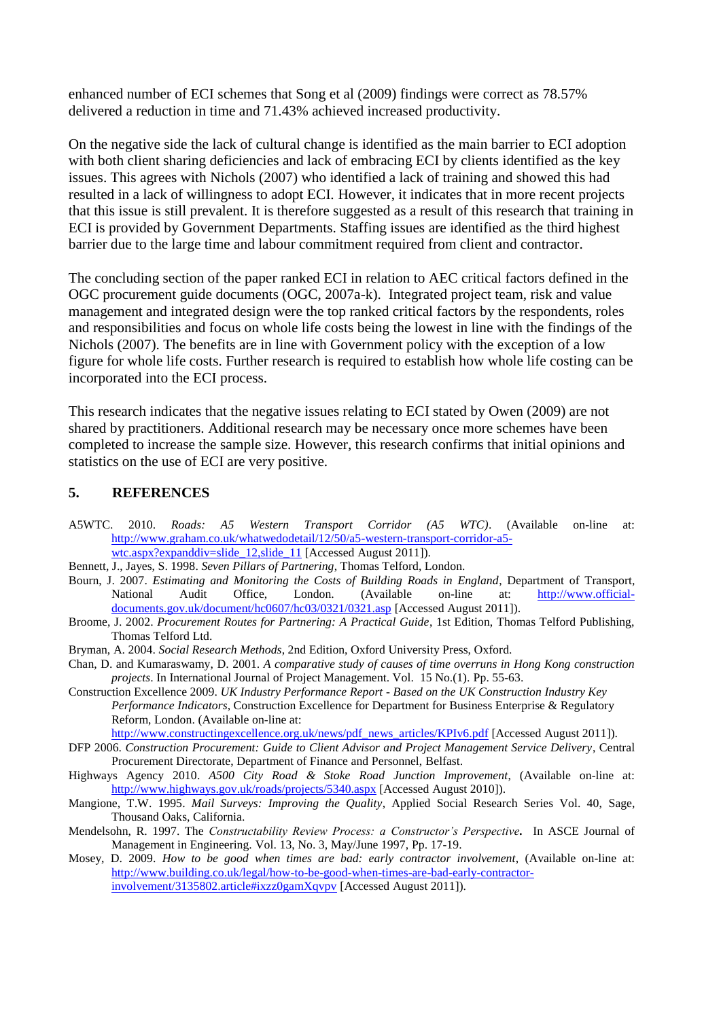enhanced number of ECI schemes that Song et al (2009) findings were correct as 78.57% delivered a reduction in time and 71.43% achieved increased productivity.

On the negative side the lack of cultural change is identified as the main barrier to ECI adoption with both client sharing deficiencies and lack of embracing ECI by clients identified as the key issues. This agrees with Nichols (2007) who identified a lack of training and showed this had resulted in a lack of willingness to adopt ECI. However, it indicates that in more recent projects that this issue is still prevalent. It is therefore suggested as a result of this research that training in ECI is provided by Government Departments. Staffing issues are identified as the third highest barrier due to the large time and labour commitment required from client and contractor.

The concluding section of the paper ranked ECI in relation to AEC critical factors defined in the OGC procurement guide documents (OGC, 2007a-k). Integrated project team, risk and value management and integrated design were the top ranked critical factors by the respondents, roles and responsibilities and focus on whole life costs being the lowest in line with the findings of the Nichols (2007). The benefits are in line with Government policy with the exception of a low figure for whole life costs. Further research is required to establish how whole life costing can be incorporated into the ECI process.

This research indicates that the negative issues relating to ECI stated by Owen (2009) are not shared by practitioners. Additional research may be necessary once more schemes have been completed to increase the sample size. However, this research confirms that initial opinions and statistics on the use of ECI are very positive.

#### **5. REFERENCES**

- A5WTC. 2010. *Roads: A5 Western Transport Corridor (A5 WTC)*. (Available on-line at: [http://www.graham.co.uk/whatwedodetail/12/50/a5-western-transport-corridor-a5](http://www.graham.co.uk/whatwedodetail/12/50/a5-western-transport-corridor-a5-wtc.aspx?expanddiv=slide_12,slide_11) [wtc.aspx?expanddiv=slide\\_12,slide\\_11](http://www.graham.co.uk/whatwedodetail/12/50/a5-western-transport-corridor-a5-wtc.aspx?expanddiv=slide_12,slide_11) [Accessed August 2011]).
- Bennett, J., Jayes, S. 1998. *Seven Pillars of Partnering*, Thomas Telford, London.
- Bourn, J. 2007. *Estimating and Monitoring the Costs of Building Roads in England*, Department of Transport, National Audit Office, London. (Available on-line at: [http://www.official](http://www.official-documents.gov.uk/document/hc0607/hc03/0321/0321.asp)[documents.gov.uk/document/hc0607/hc03/0321/0321.asp](http://www.official-documents.gov.uk/document/hc0607/hc03/0321/0321.asp) [Accessed August 2011]).
- Broome, J. 2002. *Procurement Routes for Partnering: A Practical Guide*, 1st Edition, Thomas Telford Publishing, Thomas Telford Ltd.
- Bryman, A. 2004. *Social Research Methods*, 2nd Edition, Oxford University Press, Oxford.
- Chan, D. and Kumaraswamy, D. 2001. *A comparative study of causes of time overruns in Hong Kong construction projects*. In International Journal of Project Management. Vol. 15 No.(1). Pp. 55-63.
- Construction Excellence 2009. *UK Industry Performance Report - Based on the UK Construction Industry Key Performance Indicators*, Construction Excellence for Department for Business Enterprise & Regulatory Reform, London. (Available on-line at:

[http://www.constructingexcellence.org.uk/news/pdf\\_news\\_articles/KPIv6.pdf](http://www.constructingexcellence.org.uk/news/pdf_news_articles/KPIv6.pdf) [Accessed August 2011]).

- DFP 2006. *Construction Procurement: Guide to Client Advisor and Project Management Service Delivery*, Central Procurement Directorate, Department of Finance and Personnel, Belfast.
- Highways Agency 2010. *A500 City Road & Stoke Road Junction Improvement*, (Available on-line at: <http://www.highways.gov.uk/roads/projects/5340.aspx> [Accessed August 2010]).
- Mangione, T.W. 1995. *Mail Surveys: Improving the Quality*, Applied Social Research Series Vol. 40, Sage, Thousand Oaks, California.
- Mendelsohn, R. 1997. The *Constructability Review Process: a Constructor's Perspective.* In ASCE Journal of Management in Engineering. Vol. 13, No. 3, May/June 1997, Pp. 17-19.
- Mosey, D. 2009. *How to be good when times are bad: early contractor involvement*, (Available on-line at: [http://www.building.co.uk/legal/how-to-be-good-when-times-are-bad-early-contractor](http://www.building.co.uk/legal/how-to-be-good-when-times-are-bad-early-contractor-involvement/3135802.article#ixzz0gamXqvpv)[involvement/3135802.article#ixzz0gamXqvpv](http://www.building.co.uk/legal/how-to-be-good-when-times-are-bad-early-contractor-involvement/3135802.article#ixzz0gamXqvpv) [Accessed August 2011]).